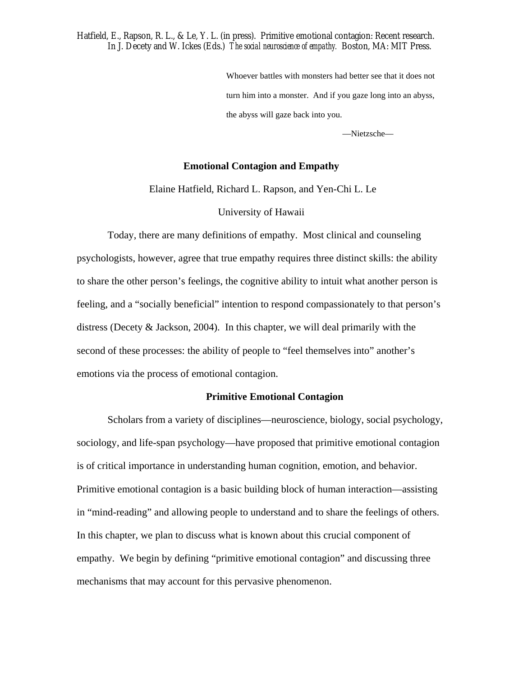Hatfield, E., Rapson, R. L., & Le, Y. L. (in press). Primitive emotional contagion: Recent research. In J. Decety and W. Ickes (Eds.) *The social neuroscience of empathy.* Boston, MA: MIT Press.

> Whoever battles with monsters had better see that it does not turn him into a monster. And if you gaze long into an abyss, the abyss will gaze back into you.

> > —Nietzsche—

## **Emotional Contagion and Empathy**

Elaine Hatfield, Richard L. Rapson, and Yen-Chi L. Le

University of Hawaii

 Today, there are many definitions of empathy. Most clinical and counseling psychologists, however, agree that true empathy requires three distinct skills: the ability to share the other person's feelings, the cognitive ability to intuit what another person is feeling, and a "socially beneficial" intention to respond compassionately to that person's distress (Decety & Jackson, 2004). In this chapter, we will deal primarily with the second of these processes: the ability of people to "feel themselves into" another's emotions via the process of emotional contagion.

## **Primitive Emotional Contagion**

 Scholars from a variety of disciplines—neuroscience, biology, social psychology, sociology, and life-span psychology—have proposed that primitive emotional contagion is of critical importance in understanding human cognition, emotion, and behavior. Primitive emotional contagion is a basic building block of human interaction—assisting in "mind-reading" and allowing people to understand and to share the feelings of others. In this chapter, we plan to discuss what is known about this crucial component of empathy. We begin by defining "primitive emotional contagion" and discussing three mechanisms that may account for this pervasive phenomenon.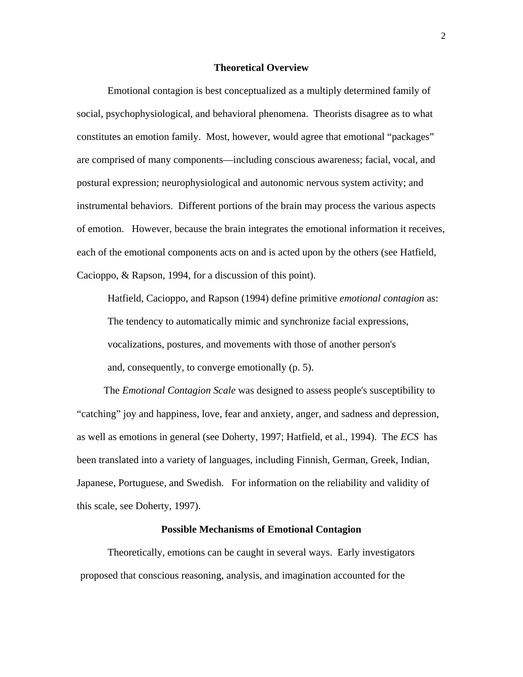#### **Theoretical Overview**

Emotional contagion is best conceptualized as a multiply determined family of social, psychophysiological, and behavioral phenomena. Theorists disagree as to what constitutes an emotion family. Most, however, would agree that emotional "packages" are comprised of many components—including conscious awareness; facial, vocal, and postural expression; neurophysiological and autonomic nervous system activity; and instrumental behaviors. Different portions of the brain may process the various aspects of emotion. However, because the brain integrates the emotional information it receives, each of the emotional components acts on and is acted upon by the others (see Hatfield, Cacioppo, & Rapson, 1994, for a discussion of this point).

Hatfield, Cacioppo, and Rapson (1994) define primitive *emotional contagion* as: The tendency to automatically mimic and synchronize facial expressions, vocalizations, postures, and movements with those of another person's and, consequently, to converge emotionally (p. 5).

The *Emotional Contagion Scale* was designed to assess people's susceptibility to "catching" joy and happiness, love, fear and anxiety, anger, and sadness and depression, as well as emotions in general (see Doherty, 1997; Hatfield, et al., 1994). The *ECS* has been translated into a variety of languages, including Finnish, German, Greek, Indian, Japanese, Portuguese, and Swedish. For information on the reliability and validity of this scale, see Doherty, 1997).

#### **Possible Mechanisms of Emotional Contagion**

Theoretically, emotions can be caught in several ways. Early investigators proposed that conscious reasoning, analysis, and imagination accounted for the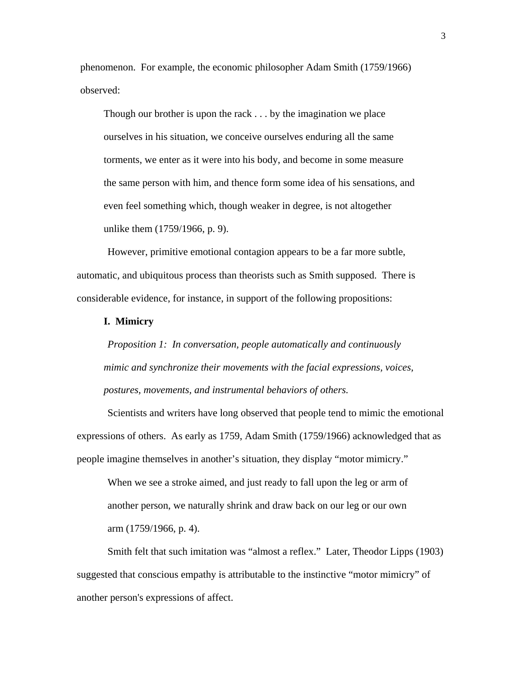phenomenon. For example, the economic philosopher Adam Smith (1759/1966) observed:

Though our brother is upon the rack . . . by the imagination we place ourselves in his situation, we conceive ourselves enduring all the same torments, we enter as it were into his body, and become in some measure the same person with him, and thence form some idea of his sensations, and even feel something which, though weaker in degree, is not altogether unlike them (1759/1966, p. 9).

However, primitive emotional contagion appears to be a far more subtle, automatic, and ubiquitous process than theorists such as Smith supposed. There is considerable evidence, for instance, in support of the following propositions:

## **I. Mimicry**

*Proposition 1: In conversation, people automatically and continuously mimic and synchronize their movements with the facial expressions, voices, postures, movements, and instrumental behaviors of others.* 

Scientists and writers have long observed that people tend to mimic the emotional expressions of others. As early as 1759, Adam Smith (1759/1966) acknowledged that as people imagine themselves in another's situation, they display "motor mimicry."

When we see a stroke aimed, and just ready to fall upon the leg or arm of another person, we naturally shrink and draw back on our leg or our own arm (1759/1966, p. 4).

Smith felt that such imitation was "almost a reflex." Later, Theodor Lipps (1903) suggested that conscious empathy is attributable to the instinctive "motor mimicry" of another person's expressions of affect.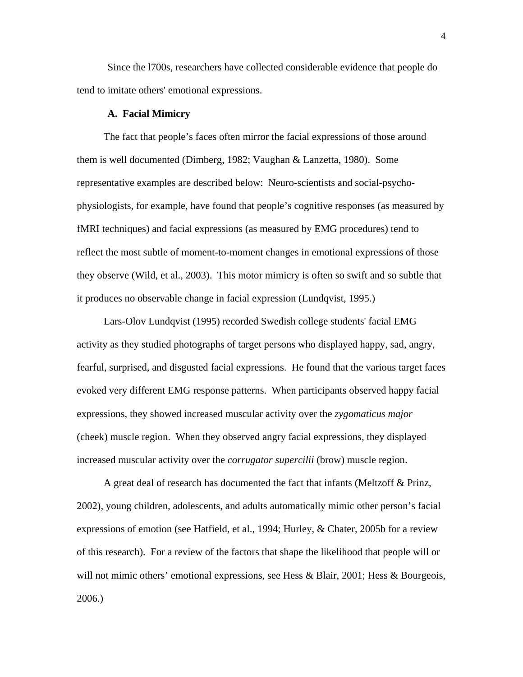Since the l700s, researchers have collected considerable evidence that people do tend to imitate others' emotional expressions.

## **A. Facial Mimicry**

The fact that people's faces often mirror the facial expressions of those around them is well documented (Dimberg, 1982; Vaughan & Lanzetta, 1980). Some representative examples are described below: Neuro-scientists and social-psychophysiologists, for example, have found that people's cognitive responses (as measured by fMRI techniques) and facial expressions (as measured by EMG procedures) tend to reflect the most subtle of moment-to-moment changes in emotional expressions of those they observe (Wild, et al., 2003). This motor mimicry is often so swift and so subtle that it produces no observable change in facial expression (Lundqvist, 1995.)

Lars-Olov Lundqvist (1995) recorded Swedish college students' facial EMG activity as they studied photographs of target persons who displayed happy, sad, angry, fearful, surprised, and disgusted facial expressions. He found that the various target faces evoked very different EMG response patterns. When participants observed happy facial expressions, they showed increased muscular activity over the *zygomaticus major* (cheek) muscle region. When they observed angry facial expressions, they displayed increased muscular activity over the *corrugator supercilii* (brow) muscle region.

A great deal of research has documented the fact that infants (Meltzoff & Prinz, 2002), young children, adolescents, and adults automatically mimic other person's facial expressions of emotion (see Hatfield, et al., 1994; Hurley, & Chater, 2005b for a review of this research). For a review of the factors that shape the likelihood that people will or will not mimic others' emotional expressions, see Hess & Blair, 2001; Hess & Bourgeois, 2006.)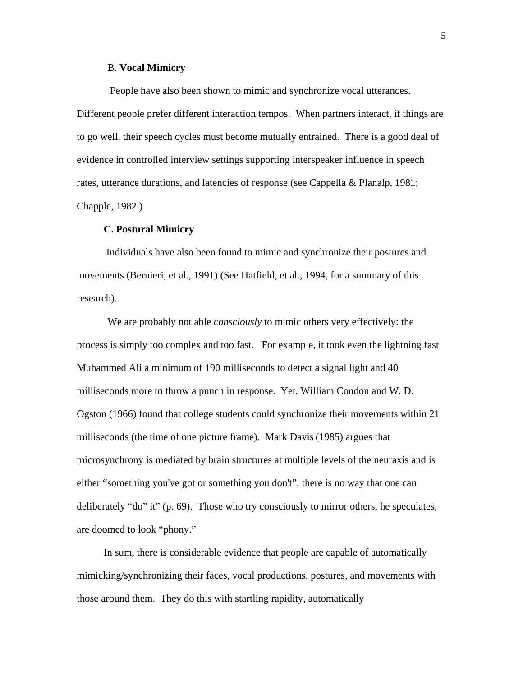## B. **Vocal Mimicry**

 People have also been shown to mimic and synchronize vocal utterances. Different people prefer different interaction tempos. When partners interact, if things are to go well, their speech cycles must become mutually entrained. There is a good deal of evidence in controlled interview settings supporting interspeaker influence in speech rates, utterance durations, and latencies of response (see Cappella & Planalp, 1981; Chapple, 1982.)

#### **C. Postural Mimicry**

 Individuals have also been found to mimic and synchronize their postures and movements (Bernieri, et al., 1991) (See Hatfield, et al., 1994, for a summary of this research).

We are probably not able *consciously* to mimic others very effectively: the process is simply too complex and too fast. For example, it took even the lightning fast Muhammed Ali a minimum of 190 milliseconds to detect a signal light and 40 milliseconds more to throw a punch in response. Yet, William Condon and W. D. Ogston (1966) found that college students could synchronize their movements within 21 milliseconds (the time of one picture frame). Mark Davis(1985) argues that microsynchrony is mediated by brain structures at multiple levels of the neuraxis and is either "something you've got or something you don't"; there is no way that one can deliberately "do" it" (p. 69). Those who try consciously to mirror others, he speculates, are doomed to look "phony."

In sum, there is considerable evidence that people are capable of automatically mimicking/synchronizing their faces, vocal productions, postures, and movements with those around them. They do this with startling rapidity, automatically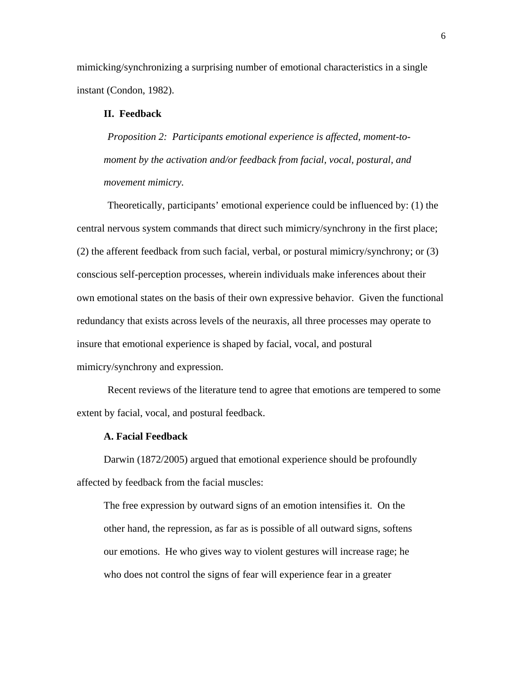mimicking/synchronizing a surprising number of emotional characteristics in a single instant (Condon, 1982).

## **II. Feedback**

*Proposition 2: Participants emotional experience is affected, moment-tomoment by the activation and/or feedback from facial, vocal, postural, and movement mimicry.*

Theoretically, participants' emotional experience could be influenced by: (1) the central nervous system commands that direct such mimicry/synchrony in the first place; (2) the afferent feedback from such facial, verbal, or postural mimicry/synchrony; or (3) conscious self-perception processes, wherein individuals make inferences about their own emotional states on the basis of their own expressive behavior. Given the functional redundancy that exists across levels of the neuraxis, all three processes may operate to insure that emotional experience is shaped by facial, vocal, and postural mimicry/synchrony and expression.

Recent reviews of the literature tend to agree that emotions are tempered to some extent by facial, vocal, and postural feedback.

## **A. Facial Feedback**

Darwin (1872/2005) argued that emotional experience should be profoundly affected by feedback from the facial muscles:

The free expression by outward signs of an emotion intensifies it. On the other hand, the repression, as far as is possible of all outward signs, softens our emotions. He who gives way to violent gestures will increase rage; he who does not control the signs of fear will experience fear in a greater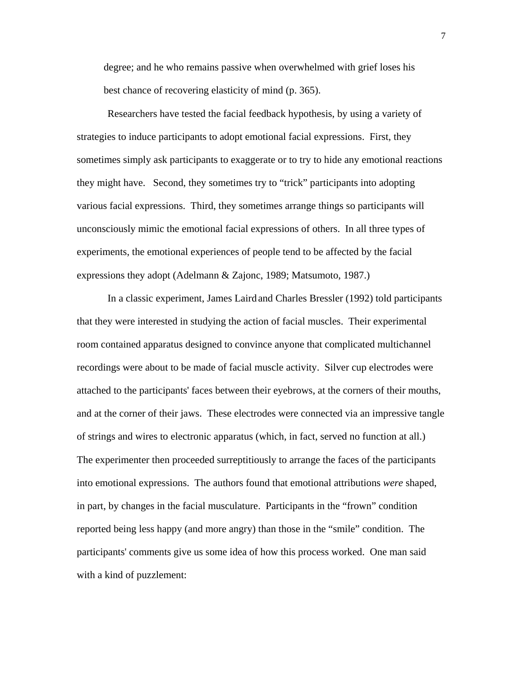degree; and he who remains passive when overwhelmed with grief loses his best chance of recovering elasticity of mind (p. 365).

Researchers have tested the facial feedback hypothesis, by using a variety of strategies to induce participants to adopt emotional facial expressions. First, they sometimes simply ask participants to exaggerate or to try to hide any emotional reactions they might have. Second, they sometimes try to "trick" participants into adopting various facial expressions. Third, they sometimes arrange things so participants will unconsciously mimic the emotional facial expressions of others. In all three types of experiments, the emotional experiences of people tend to be affected by the facial expressions they adopt (Adelmann & Zajonc, 1989; Matsumoto, 1987.)

In a classic experiment, James Lairdand Charles Bressler (1992) told participants that they were interested in studying the action of facial muscles. Their experimental room contained apparatus designed to convince anyone that complicated multichannel recordings were about to be made of facial muscle activity. Silver cup electrodes were attached to the participants' faces between their eyebrows, at the corners of their mouths, and at the corner of their jaws. These electrodes were connected via an impressive tangle of strings and wires to electronic apparatus (which, in fact, served no function at all.) The experimenter then proceeded surreptitiously to arrange the faces of the participants into emotional expressions. The authors found that emotional attributions *were* shaped, in part, by changes in the facial musculature. Participants in the "frown" condition reported being less happy (and more angry) than those in the "smile" condition. The participants' comments give us some idea of how this process worked. One man said with a kind of puzzlement:

7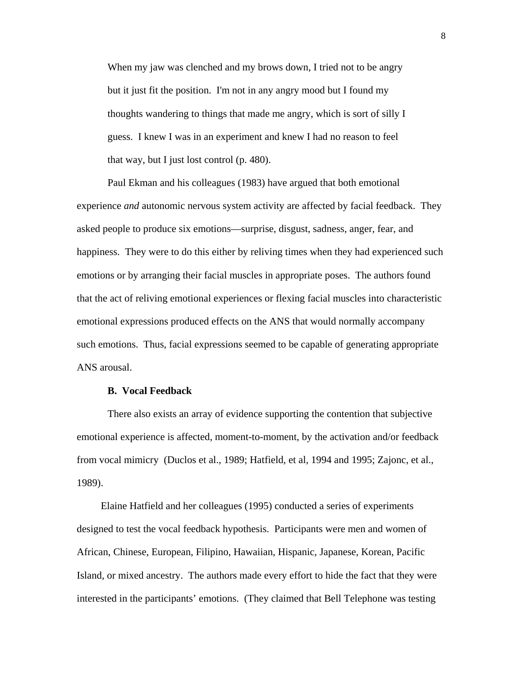When my jaw was clenched and my brows down, I tried not to be angry but it just fit the position. I'm not in any angry mood but I found my thoughts wandering to things that made me angry, which is sort of silly I guess. I knew I was in an experiment and knew I had no reason to feel that way, but I just lost control (p. 480).

Paul Ekman and his colleagues (1983) have argued that both emotional experience *and* autonomic nervous system activity are affected by facial feedback. They asked people to produce six emotions—surprise, disgust, sadness, anger, fear, and happiness. They were to do this either by reliving times when they had experienced such emotions or by arranging their facial muscles in appropriate poses. The authors found that the act of reliving emotional experiences or flexing facial muscles into characteristic emotional expressions produced effects on the ANS that would normally accompany such emotions. Thus, facial expressions seemed to be capable of generating appropriate ANS arousal.

#### **B. Vocal Feedback**

There also exists an array of evidence supporting the contention that subjective emotional experience is affected, moment-to-moment, by the activation and/or feedback from vocal mimicry (Duclos et al., 1989; Hatfield, et al, 1994 and 1995; Zajonc, et al., 1989).

Elaine Hatfield and her colleagues (1995) conducted a series of experiments designed to test the vocal feedback hypothesis. Participants were men and women of African, Chinese, European, Filipino, Hawaiian, Hispanic, Japanese, Korean, Pacific Island, or mixed ancestry. The authors made every effort to hide the fact that they were interested in the participants' emotions. (They claimed that Bell Telephone was testing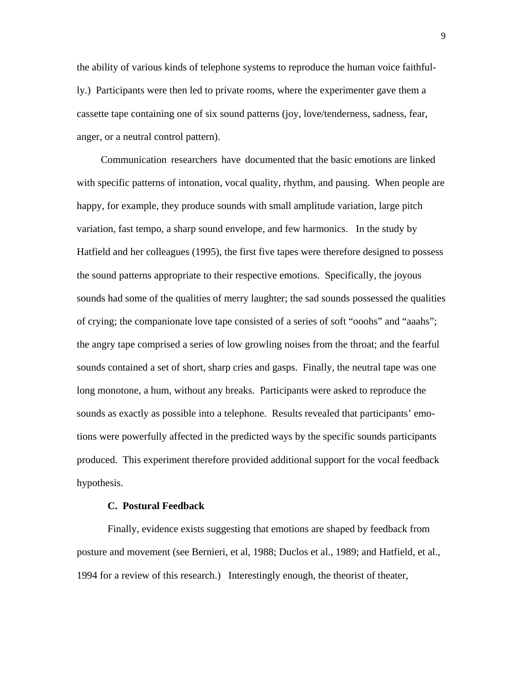the ability of various kinds of telephone systems to reproduce the human voice faithfully.) Participants were then led to private rooms, where the experimenter gave them a cassette tape containing one of six sound patterns (joy, love/tenderness, sadness, fear, anger, or a neutral control pattern).

Communication researchers have documented that the basic emotions are linked with specific patterns of intonation, vocal quality, rhythm, and pausing. When people are happy, for example, they produce sounds with small amplitude variation, large pitch variation, fast tempo, a sharp sound envelope, and few harmonics. In the study by Hatfield and her colleagues (1995), the first five tapes were therefore designed to possess the sound patterns appropriate to their respective emotions. Specifically, the joyous sounds had some of the qualities of merry laughter; the sad sounds possessed the qualities of crying; the companionate love tape consisted of a series of soft "ooohs" and "aaahs"; the angry tape comprised a series of low growling noises from the throat; and the fearful sounds contained a set of short, sharp cries and gasps. Finally, the neutral tape was one long monotone, a hum, without any breaks. Participants were asked to reproduce the sounds as exactly as possible into a telephone. Results revealed that participants' emotions were powerfully affected in the predicted ways by the specific sounds participants produced. This experiment therefore provided additional support for the vocal feedback hypothesis.

#### **C. Postural Feedback**

Finally, evidence exists suggesting that emotions are shaped by feedback from posture and movement (see Bernieri, et al, 1988; Duclos et al., 1989; and Hatfield, et al., 1994 for a review of this research.) Interestingly enough, the theorist of theater,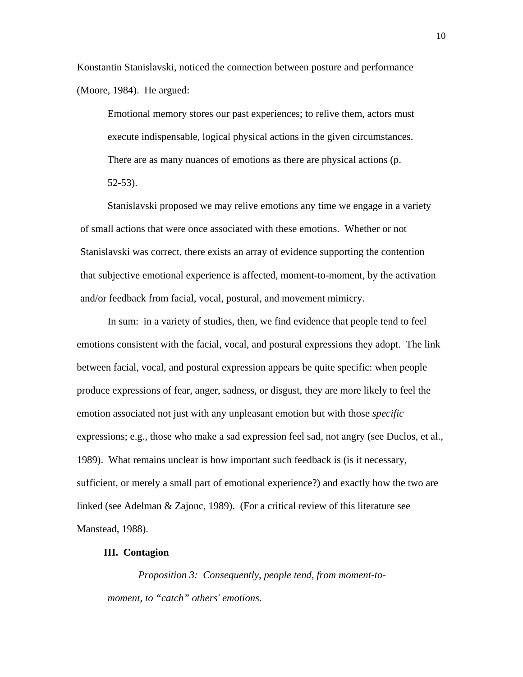Konstantin Stanislavski, noticed the connection between posture and performance (Moore, 1984). He argued:

Emotional memory stores our past experiences; to relive them, actors must execute indispensable, logical physical actions in the given circumstances. There are as many nuances of emotions as there are physical actions (p. 52-53).

Stanislavski proposed we may relive emotions any time we engage in a variety of small actions that were once associated with these emotions. Whether or not Stanislavski was correct, there exists an array of evidence supporting the contention that subjective emotional experience is affected, moment-to-moment, by the activation and/or feedback from facial, vocal, postural, and movement mimicry.

In sum: in a variety of studies, then, we find evidence that people tend to feel emotions consistent with the facial, vocal, and postural expressions they adopt. The link between facial, vocal, and postural expression appears be quite specific: when people produce expressions of fear, anger, sadness, or disgust, they are more likely to feel the emotion associated not just with any unpleasant emotion but with those *specific*  expressions; e.g., those who make a sad expression feel sad, not angry (see Duclos, et al., 1989). What remains unclear is how important such feedback is (is it necessary, sufficient, or merely a small part of emotional experience?) and exactly how the two are linked (see Adelman & Zajonc, 1989). (For a critical review of this literature see Manstead, 1988).

## **III. Contagion**

*Proposition 3: Consequently, people tend, from moment-tomoment, to "catch" others' emotions.*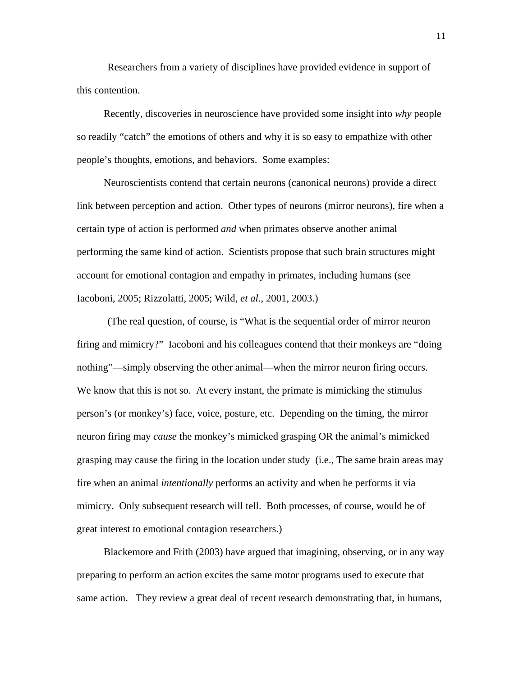Researchers from a variety of disciplines have provided evidence in support of this contention.

Recently, discoveries in neuroscience have provided some insight into *why* people so readily "catch" the emotions of others and why it is so easy to empathize with other people's thoughts, emotions, and behaviors. Some examples:

Neuroscientists contend that certain neurons (canonical neurons) provide a direct link between perception and action. Other types of neurons (mirror neurons), fire when a certain type of action is performed *and* when primates observe another animal performing the same kind of action. Scientists propose that such brain structures might account for emotional contagion and empathy in primates, including humans (see Iacoboni, 2005; Rizzolatti, 2005; Wild, *et al.,* 2001, 2003.)

(The real question, of course, is "What is the sequential order of mirror neuron firing and mimicry?" Iacoboni and his colleagues contend that their monkeys are "doing nothing"—simply observing the other animal—when the mirror neuron firing occurs. We know that this is not so. At every instant, the primate is mimicking the stimulus person's (or monkey's) face, voice, posture, etc. Depending on the timing, the mirror neuron firing may *cause* the monkey's mimicked grasping OR the animal's mimicked grasping may cause the firing in the location under study (i.e., The same brain areas may fire when an animal *intentionally* performs an activity and when he performs it via mimicry. Only subsequent research will tell. Both processes, of course, would be of great interest to emotional contagion researchers.)

Blackemore and Frith (2003) have argued that imagining, observing, or in any way preparing to perform an action excites the same motor programs used to execute that same action. They review a great deal of recent research demonstrating that, in humans,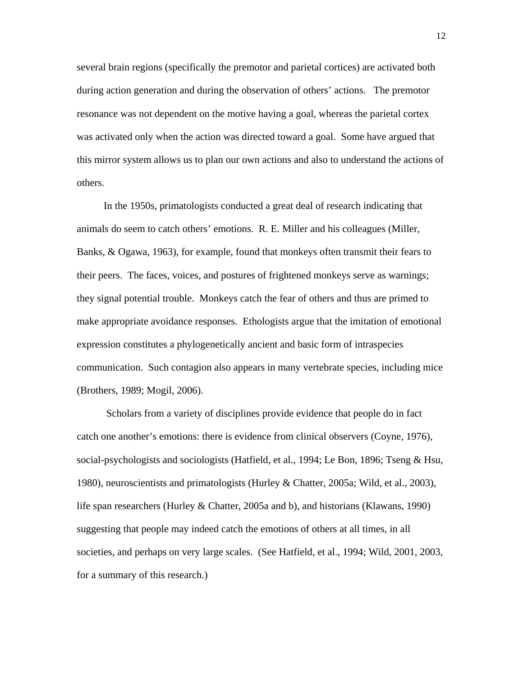several brain regions (specifically the premotor and parietal cortices) are activated both during action generation and during the observation of others' actions. The premotor resonance was not dependent on the motive having a goal, whereas the parietal cortex was activated only when the action was directed toward a goal. Some have argued that this mirror system allows us to plan our own actions and also to understand the actions of others.

In the 1950s, primatologists conducted a great deal of research indicating that animals do seem to catch others' emotions. R. E. Miller and his colleagues (Miller, Banks, & Ogawa, 1963), for example, found that monkeys often transmit their fears to their peers. The faces, voices, and postures of frightened monkeys serve as warnings; they signal potential trouble. Monkeys catch the fear of others and thus are primed to make appropriate avoidance responses. Ethologists argue that the imitation of emotional expression constitutes a phylogenetically ancient and basic form of intraspecies communication. Such contagion also appears in many vertebrate species, including mice (Brothers, 1989; Mogil, 2006).

 Scholars from a variety of disciplines provide evidence that people do in fact catch one another's emotions: there is evidence from clinical observers (Coyne, 1976), social-psychologists and sociologists (Hatfield, et al., 1994; Le Bon, 1896; Tseng & Hsu, 1980), neuroscientists and primatologists (Hurley & Chatter, 2005a; Wild, et al., 2003), life span researchers (Hurley & Chatter, 2005a and b), and historians (Klawans, 1990) suggesting that people may indeed catch the emotions of others at all times, in all societies, and perhaps on very large scales. (See Hatfield, et al., 1994; Wild, 2001, 2003, for a summary of this research.)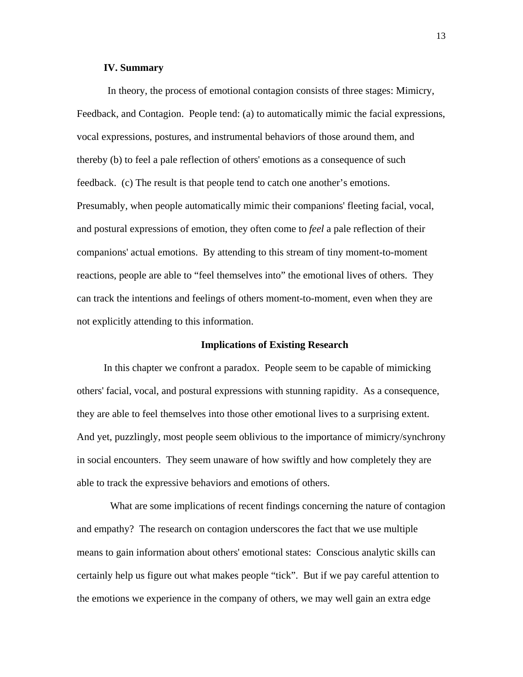#### **IV. Summary**

In theory, the process of emotional contagion consists of three stages: Mimicry, Feedback, and Contagion. People tend: (a) to automatically mimic the facial expressions, vocal expressions, postures, and instrumental behaviors of those around them, and thereby (b) to feel a pale reflection of others' emotions as a consequence of such feedback. (c) The result is that people tend to catch one another's emotions. Presumably, when people automatically mimic their companions' fleeting facial, vocal, and postural expressions of emotion, they often come to *feel* a pale reflection of their companions' actual emotions. By attending to this stream of tiny moment-to-moment reactions, people are able to "feel themselves into" the emotional lives of others. They can track the intentions and feelings of others moment-to-moment, even when they are not explicitly attending to this information.

#### **Implications of Existing Research**

In this chapter we confront a paradox. People seem to be capable of mimicking others' facial, vocal, and postural expressions with stunning rapidity. As a consequence, they are able to feel themselves into those other emotional lives to a surprising extent. And yet, puzzlingly, most people seem oblivious to the importance of mimicry/synchrony in social encounters. They seem unaware of how swiftly and how completely they are able to track the expressive behaviors and emotions of others.

What are some implications of recent findings concerning the nature of contagion and empathy? The research on contagion underscores the fact that we use multiple means to gain information about others' emotional states: Conscious analytic skills can certainly help us figure out what makes people "tick". But if we pay careful attention to the emotions we experience in the company of others, we may well gain an extra edge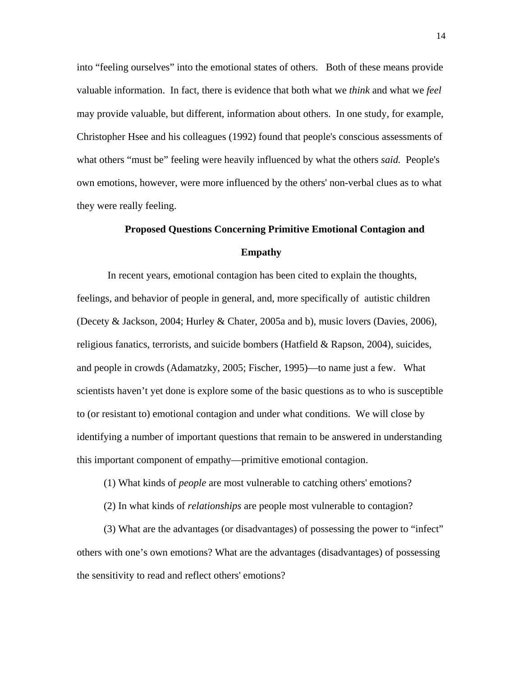into "feeling ourselves" into the emotional states of others. Both of these means provide valuable information. In fact, there is evidence that both what we *think* and what we *feel*  may provide valuable, but different, information about others. In one study, for example, Christopher Hsee and his colleagues (1992) found that people's conscious assessments of what others "must be" feeling were heavily influenced by what the others *said.* People's own emotions, however, were more influenced by the others' non-verbal clues as to what they were really feeling.

# **Proposed Questions Concerning Primitive Emotional Contagion and Empathy**

In recent years, emotional contagion has been cited to explain the thoughts, feelings, and behavior of people in general, and, more specifically of autistic children (Decety & Jackson, 2004; Hurley & Chater, 2005a and b), music lovers (Davies, 2006), religious fanatics, terrorists, and suicide bombers (Hatfield  $\&$  Rapson, 2004), suicides, and people in crowds (Adamatzky, 2005; Fischer, 1995)—to name just a few. What scientists haven't yet done is explore some of the basic questions as to who is susceptible to (or resistant to) emotional contagion and under what conditions. We will close by identifying a number of important questions that remain to be answered in understanding this important component of empathy—primitive emotional contagion.

- (1) What kinds of *people* are most vulnerable to catching others' emotions?
- (2) In what kinds of *relationships* are people most vulnerable to contagion?

(3) What are the advantages (or disadvantages) of possessing the power to "infect" others with one's own emotions? What are the advantages (disadvantages) of possessing the sensitivity to read and reflect others' emotions?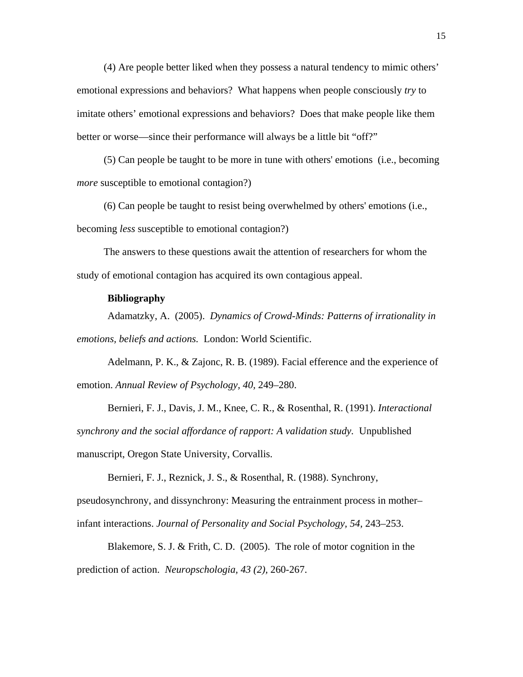(4) Are people better liked when they possess a natural tendency to mimic others' emotional expressions and behaviors? What happens when people consciously *try* to imitate others' emotional expressions and behaviors? Does that make people like them better or worse—since their performance will always be a little bit "off?"

(5) Can people be taught to be more in tune with others' emotions (i.e., becoming *more* susceptible to emotional contagion?)

(6) Can people be taught to resist being overwhelmed by others' emotions (i.e., becoming *less* susceptible to emotional contagion?)

The answers to these questions await the attention of researchers for whom the study of emotional contagion has acquired its own contagious appeal.

## **Bibliography**

Adamatzky, A. (2005). *Dynamics of Crowd-Minds: Patterns of irrationality in emotions, beliefs and actions.* London: World Scientific.

Adelmann, P. K., & Zajonc, R. B. (1989). Facial efference and the experience of emotion. *Annual Review of Psychology, 40,* 249–280.

Bernieri, F. J., Davis, J. M., Knee, C. R., & Rosenthal, R. (1991). *Interactional synchrony and the social affordance of rapport: A validation study.* Unpublished manuscript, Oregon State University, Corvallis.

Bernieri, F. J., Reznick, J. S., & Rosenthal, R. (1988). Synchrony, pseudosynchrony, and dissynchrony: Measuring the entrainment process in mother– infant interactions. *Journal of Personality and Social Psychology, 54,* 243–253.

Blakemore, S. J. & Frith, C. D. (2005). The role of motor cognition in the prediction of action. *Neuropschologia, 43 (2),* 260-267.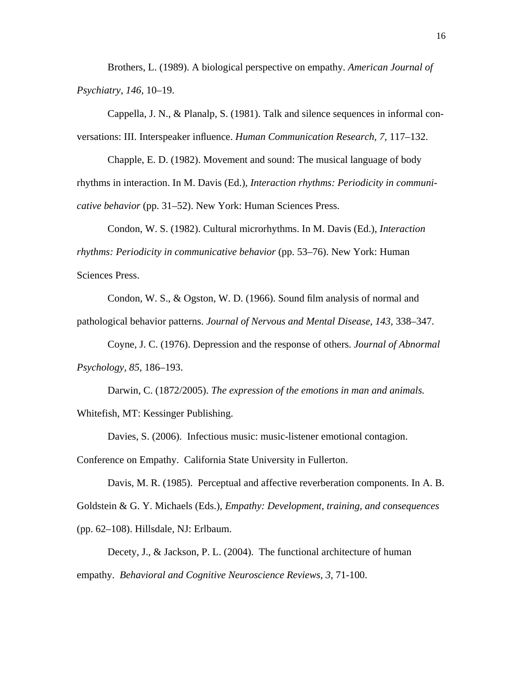Brothers, L. (1989). A biological perspective on empathy. *American Journal of Psychiatry, 146,* 10–19.

Cappella, J. N., & Planalp, S. (1981). Talk and silence sequences in informal conversations: III. Interspeaker influence. *Human Communication Research, 7,* 117–132.

Chapple, E. D. (1982). Movement and sound: The musical language of body rhythms in interaction. In M. Davis (Ed.), *Interaction rhythms: Periodicity in communicative behavior* (pp. 31–52). New York: Human Sciences Press.

Condon, W. S. (1982). Cultural microrhythms. In M. Davis (Ed.), *Interaction rhythms: Periodicity in communicative behavior* (pp. 53–76). New York: Human Sciences Press.

Condon, W. S., & Ogston, W. D. (1966). Sound film analysis of normal and pathological behavior patterns. *Journal of Nervous and Mental Disease, 143,* 338–347.

Coyne, J. C. (1976). Depression and the response of others. *Journal of Abnormal Psychology, 85,* 186–193.

Darwin, C. (1872/2005). *The expression of the emotions in man and animals.*  Whitefish, MT: Kessinger Publishing.

Davies, S. (2006). Infectious music: music-listener emotional contagion.

Conference on Empathy. California State University in Fullerton.

Davis, M. R. (1985). Perceptual and affective reverberation components. In A. B. Goldstein & G. Y. Michaels (Eds.), *Empathy: Development, training, and consequences* (pp. 62–108). Hillsdale, NJ: Erlbaum.

Decety, J., & Jackson, P. L. (2004). The functional architecture of human empathy. *Behavioral and Cognitive Neuroscience Reviews, 3,* 71-100.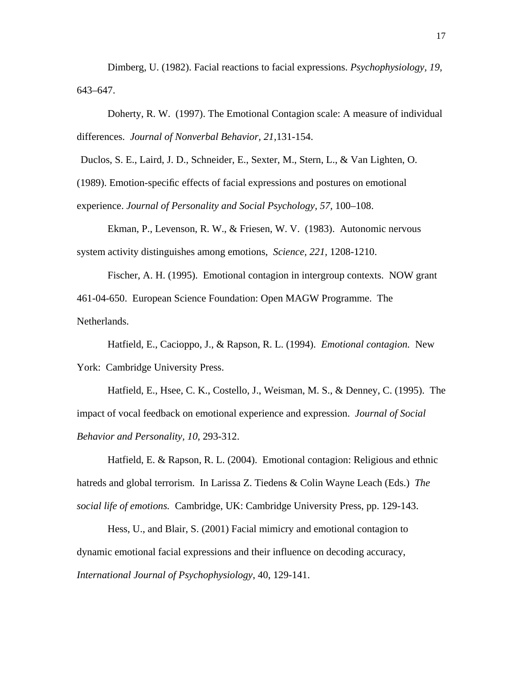Dimberg, U. (1982). Facial reactions to facial expressions. *Psychophysiology, 19,*  643–647.

Doherty, R. W. (1997). The Emotional Contagion scale: A measure of individual differences. *Journal of Nonverbal Behavior, 21,*131-154.

Duclos, S. E., Laird, J. D., Schneider, E., Sexter, M., Stern, L., & Van Lighten, O.

(1989). Emotion-specific effects of facial expressions and postures on emotional

experience. *Journal of Personality and Social Psychology, 57,* 100–108.

Ekman, P., Levenson, R. W., & Friesen, W. V. (1983). Autonomic nervous system activity distinguishes among emotions, *Science, 221,* 1208-1210.

Fischer, A. H. (1995). Emotional contagion in intergroup contexts. NOW grant 461-04-650. European Science Foundation: Open MAGW Programme. The Netherlands.

Hatfield, E., Cacioppo, J., & Rapson, R. L. (1994). *Emotional contagion.* New York: Cambridge University Press.

Hatfield, E., Hsee, C. K., Costello, J., Weisman, M. S., & Denney, C. (1995). The impact of vocal feedback on emotional experience and expression. *Journal of Social Behavior and Personality, 10,* 293-312.

Hatfield, E. & Rapson, R. L. (2004). Emotional contagion: Religious and ethnic hatreds and global terrorism. In Larissa Z. Tiedens & Colin Wayne Leach (Eds.) *The social life of emotions.* Cambridge, UK: Cambridge University Press, pp. 129-143.

Hess, U., and Blair, S. (2001) Facial mimicry and emotional contagion to dynamic emotional facial expressions and their influence on decoding accuracy, *International Journal of Psychophysiology*, 40, 129-141.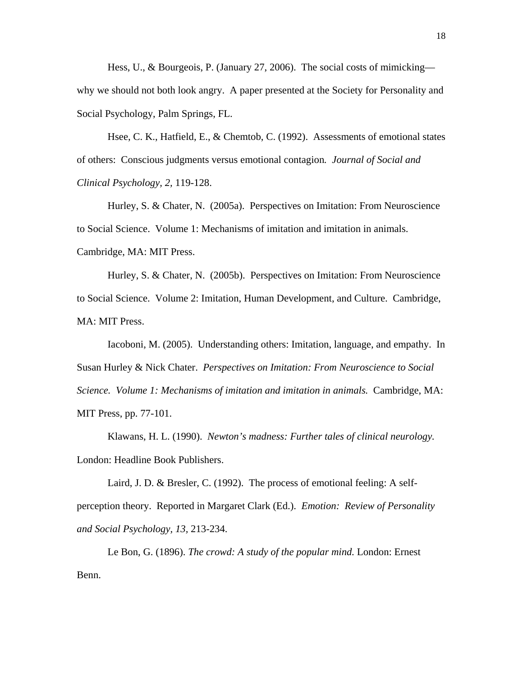Hess, U., & Bourgeois, P. (January 27, 2006). The social costs of mimicking why we should not both look angry. A paper presented at the Society for Personality and Social Psychology, Palm Springs, FL.

Hsee, C. K., Hatfield, E., & Chemtob, C. (1992). Assessments of emotional states of others: Conscious judgments versus emotional contagion*. Journal of Social and Clinical Psychology, 2,* 119-128.

Hurley, S. & Chater, N. (2005a). Perspectives on Imitation: From Neuroscience to Social Science. Volume 1: Mechanisms of imitation and imitation in animals. Cambridge, MA: MIT Press.

Hurley, S. & Chater, N. (2005b). Perspectives on Imitation: From Neuroscience to Social Science. Volume 2: Imitation, Human Development, and Culture. Cambridge, MA: MIT Press.

Iacoboni, M. (2005). Understanding others: Imitation, language, and empathy. In Susan Hurley & Nick Chater. *Perspectives on Imitation: From Neuroscience to Social Science. Volume 1: Mechanisms of imitation and imitation in animals.* Cambridge, MA: MIT Press, pp. 77-101.

Klawans, H. L. (1990). *Newton's madness: Further tales of clinical neurology.*  London: Headline Book Publishers.

Laird, J. D. & Bresler, C. (1992). The process of emotional feeling: A selfperception theory. Reported in Margaret Clark (Ed.). *Emotion: Review of Personality and Social Psychology, 13,* 213-234.

Le Bon, G. (1896). *The crowd: A study of the popular mind.* London: Ernest Benn.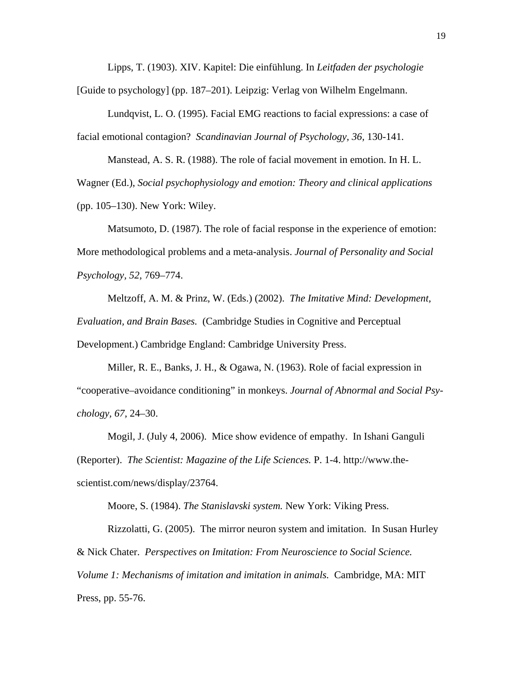Lipps, T. (1903). XIV. Kapitel: Die einfühlung. In *Leitfaden der psychologie*  [Guide to psychology] (pp. 187–201). Leipzig: Verlag von Wilhelm Engelmann.

Lundqvist, L. O. (1995). Facial EMG reactions to facial expressions: a case of facial emotional contagion? *Scandinavian Journal of Psychology, 36,* 130-141.

Manstead, A. S. R. (1988). The role of facial movement in emotion. In H. L. Wagner (Ed.), *Social psychophysiology and emotion: Theory and clinical applications*  (pp. 105–130). New York: Wiley.

Matsumoto, D. (1987). The role of facial response in the experience of emotion: More methodological problems and a meta-analysis. *Journal of Personality and Social Psychology, 52,* 769–774.

Meltzoff, A. M. & Prinz, W. (Eds.) (2002). *The Imitative Mind: Development, Evaluation, and Brain Bases.* (Cambridge Studies in Cognitive and Perceptual Development.) Cambridge England: Cambridge University Press.

Miller, R. E., Banks, J. H., & Ogawa, N. (1963). Role of facial expression in "cooperative–avoidance conditioning" in monkeys. *Journal of Abnormal and Social Psychology, 67,* 24–30.

Mogil, J. (July 4, 2006). Mice show evidence of empathy. In Ishani Ganguli (Reporter). *The Scientist: Magazine of the Life Sciences.* P. 1-4. http://www.thescientist.com/news/display/23764.

Moore, S. (1984). *The Stanislavski system.* New York: Viking Press.

Rizzolatti, G. (2005). The mirror neuron system and imitation. In Susan Hurley & Nick Chater. *Perspectives on Imitation: From Neuroscience to Social Science.* 

*Volume 1: Mechanisms of imitation and imitation in animals.* Cambridge, MA: MIT Press, pp. 55-76.